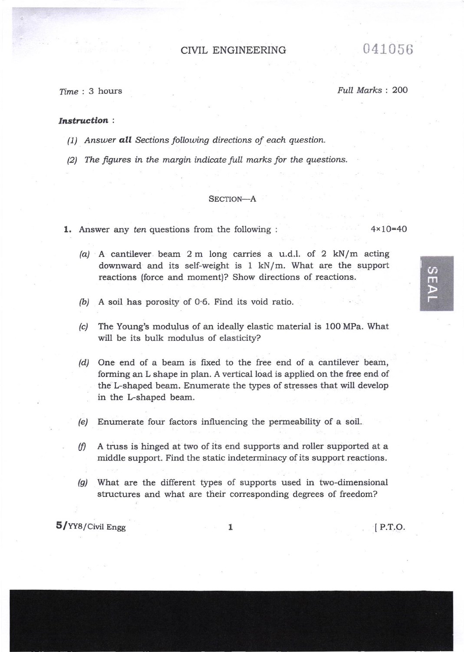# CIVIL ENGINEERING 041056

Time : 3 hours Full Marks : 200

### Instruction :

- (1) Answer **all** Sections following directions of each question.
- $(2)$  The figures in the margin indicate full marks for the questions.

# SECTION-A

1. Answer any ten questions from the following : 4x10=40

- /a/ A cantilever beam 2 m long carries a u.d.l. of 2 kN/m acting downward and its self-weight is 1 kN/m. What are the support reactions (force and moment)? Show directions of reactions.
- $(b)$  A soil has porosity of 0.6. Find its void ratio.
- (c) The Young's modulus of an ideally elastic material is 100 MPa. What will be its bulk modulus of elasticity?

(d) One end of a beam is fixed to the free end of a cantilever beam, forming an L shape in plan. A vertical load is applied on the free end of the L-shaped beam. Enumerate the types of stresses that will develop in the L-shaped beam.

- (e) Enumerate four factors influencing the permeability of a soil.
- A A truss is hinged at two of its end supports and roller supported at <sup>a</sup> middle support. Find the static indeterminacy of its support reactions.
- (g) What are the different types of supports used in two-dimensional structures and what are their corresponding degrees of freedom?

 $5/YY8/Civil$  Engg  $1$  [P.T.O.

 $\omega$ m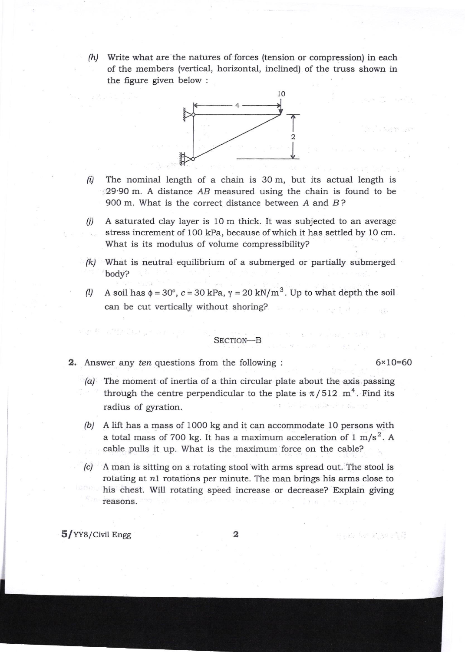(h) Write what are the natures of forces (tension or compression) in each of the members (vertical, horizontal, inclined) of the truss shown in the figure given below :



- $(i)$  The nominal length of a chain is 30 m, but its actual length is  $\approx$  29.90 m. A distance AB measured using the chain is found to be 900 m. What is the correct distance between A and B?
- $(j)$  A saturated clay layer is 10 m thick. It was subjected to an average stress increment of 1OO kPa, because of which it has settled by 10 cm. What is its modulus of volume compressibility?
- [c/ What is neutral equilibrium of a submerged or partially submerged body?
- (1) A soil has  $\phi = 30^{\circ}$ ,  $c = 30$  kPa,  $\gamma = 20$  kN/m<sup>3</sup>. Up to what depth the soil can be cut vertically without shoring?

## SECTION-B

- **2.** Answer any ten questions from the following :  $6 \times 10 = 60$ 
	- (a) The moment of inertia of a thin circular plate about the axis passing through the centre perpendicular to the plate is  $\pi/512$  m<sup>4</sup>. Find its radius of gyration.
	- (b) A lift has a mass of 1000 kg and it can accommodate 10 persons with a total mass of 700 kg. It has a maximum acceleration of 1 m/s<sup>2</sup>. A cable pulls it up. What is the maximum force on the cable?
	- A man is sitting on a rotating stool with arms spread out. The stool is rotating at nl rotations per minute. The man brings his arms close to his chest. Will rotating speed increase or decrease? Explain giving reasons.

5/YY8/Civil Engg

gaar ter 7 en 155